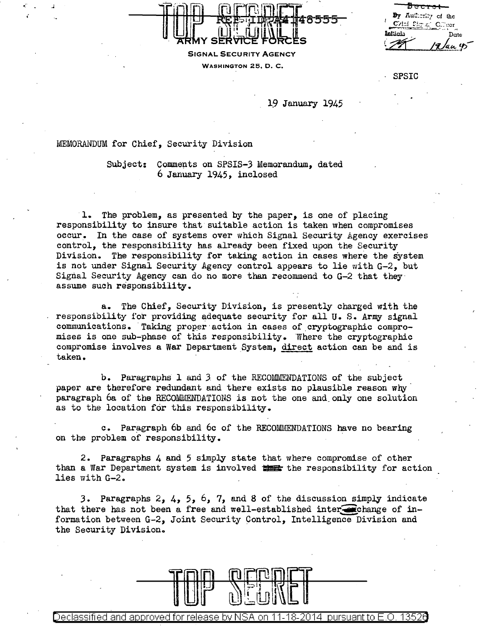**By AuQ:** :r~~~, **of lhe**   $C$ vicí  $Cirx$ <sup>:</sup>  $C.r.$ 1111:.iali Date  $\frac{19}{40}$ 



SPSIC

## 19 January 1945

**REE-LUKA 148555** 

## MEMORANDUM for Chief, Security Division

Subject: Comments on SPSIS-3 Memorandum, dated 6 January 1945, inclosed

1. The problem, as presented by the paper, is one of placing responsibility to insure that suitable action is taken when compromises occur. In the case of systems over which Signal Security Agency exercises control, the responsibility has already been fixed upon the Security Division. The responsibility for taking action in cases where the system is not under Signal Security Agency control appears to lie with G-2, but Signal Security Agency can do no more than recommend to G-2 that they· assume such responsibility.

a. The Chief, Security Division, is presently charged with the responsibility for providing adequate security for all U.S. Army signal communications. Taking proper action in cases of cryptographic compromises is one sub-phase of this responsibility. Where the cryptographic compromise involves a war Department System, direct action can be and is taken.

b. Paragraphs l and J of the RECOMMENDATIONS of the subject paper are therefore redundant and there exists no plausible reason why paragraph 6a of the RECOMMENDATIONS is not the one and\_only one solution as to the location for this responsibility.

c. Paragraph 6b and 6c of the RECOMMENDATIONS have no bearing on the problem of responsibility.

2. Paragraphs 4 and 5 simply state that where compromise of other than a War Department system is involved **1:5** the responsibility for action lies with G-2.

3. Paragraphs 2,  $4$ ,  $5$ ,  $6$ ,  $7$ , and 8 of the discussion simply indicate that there has not been a free and well-established inter $\bullet$ change of information between G-2, Joint Security Control, Intelligence Division and the Security Division.



Declassified and approved for release by NSA on 11-18-2014 pursuant to E .0. 1352a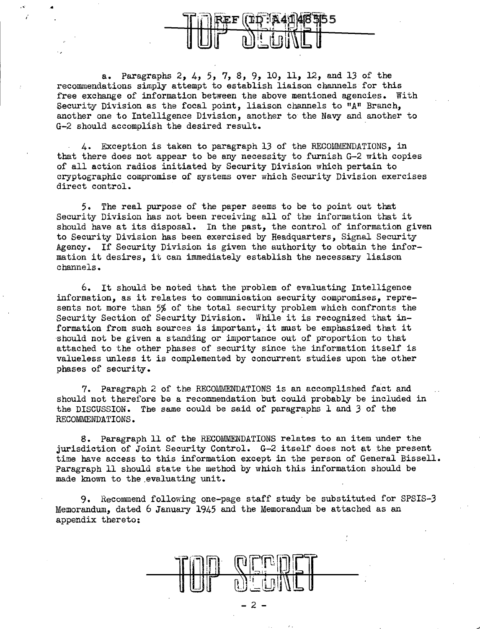a. Paragraphs 2, 4, 5, 7, 8, 9, 10, 11, 12, and 13 of the recommendations simply attempt to establish liaison channels for this free exchange of information between the above mentioned agencies. With Security Division as the focal point, liaison channels to "A" Branch, another one to Intelligence Division, another to the Navy and another to G-2 should accomplish the desired result.

•

4. Exception is taken to paragraph 13 of the RECOMMENDATIONS, in that there does not appear to be any necessity to furnish G-2 with copies of all action radios initiated by Security Division which pertain to cryptographic compromise of systems over which Security Division exercises direct control.

5. The real purpose of the paper seems to be to point out that Security Division has not been receiving all of the information that it should have at its disposal. In the past, the control of information given to Security Division has been exercised by Headquarters, Signal Security Agency. If Security Division is given the authority to obtain the information it desires, it can immediately establish the necessary liaison channels.

6. It should be noted that the problem of evaluating Intelligence information, as it relates to communication security compromises, represents not more than 5% of the total security problem which confronts the Security Section of Security Division. While it is recognized that information from such sources is important, it must be emphasized that it ·should not be given a standing or importance out of proportion to that attached to the other phases of security since the information itself is valueless unless it is complemented by concurrent studies upon the other phases of security.

7. Paragraph 2 of the RECOMMENDATIONS is an accomplished fact and should not therefore be a recommendation but could probably be included in the DISCUSSION. The same could be said of paragraphs 1 and 3 of the RECOMMENDATIONS.

8. Paragraph 11 of the RECOMMENDATIONS relates to an item under the jurisdiction of Joint Security Control. G-2 itself does not at the present time have access to this information except in the person of General Bissell. Paragraph 11 should state the method by which this information should be made known to the evaluating unit.

9. Recommend following one-page staff study be substituted for SPSIS-3 Memorandum, dated 6 January 1945 and the Memorandum be attached as an appendix thereto:

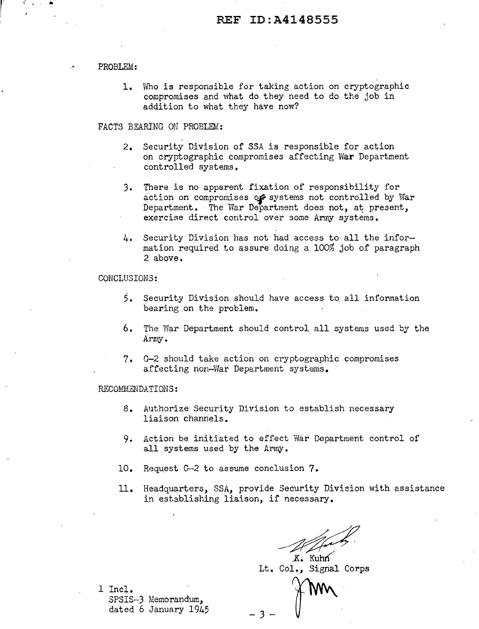#### PROBLEM:

1. Who is responsible for taking action on cryptographic compromises and what do they need to do the job in addition to what they have now?

### FACTS BEARING ON PROBLEM:

- 2. Security Division of SSA is responsible for action on cryptographic compromises affecting War Department controlled systems.
- 3. There is no apparent fixation of responsibility for action on compromises or systems not controlled by War Department. The War Department does not, at present, exercise direct control over some Army systems.
- 4. Security Division has not had access to all the information required to assure doing a 100% job of paragraph 2 above.

#### CONCLUSIONS:

- 5. Security Division should have access to all information bearing on the problem.
- 6. The War Department should control all systems used by the Army.
- 7. G-2 should take action on cryptographic compromises affecting non-War Department systems.

#### RECOMMENDATIONS:

8. Authorize Security Division to establish necessary liaison channels.

- 3 -

- 9. Action be initiated to effect War Department control of all systems used by the Army.
- 10. Request G-2 to assume conclusion 7.
- 11. Headquarters, SSA, provide Security Division with assistance in establishing liaison, if necessary,

security Division with assistance<br>
recessary.<br> *K.* Kuhn<br>
Col Signal Corns

Lt. Col., Signal Corps

 $\mathbb{F}$  ....

1 Incl. SPSIS-3 Memorandum, dated 6 January 1945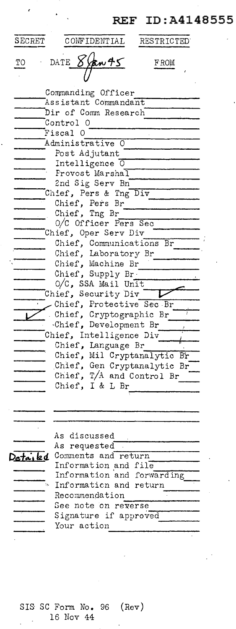# REF ID: A4148555

| SECRET               | CONFIDENTIAL                            | RESTRICTED |
|----------------------|-----------------------------------------|------------|
| TО                   | DATE <sub>X</sub><br><u>yan 45</u>      | FROM       |
|                      |                                         |            |
| Commanding Officer   |                                         |            |
| Assistant Commandant |                                         |            |
| Dir of Comm Research |                                         |            |
|                      | Control O                               |            |
|                      | Fiscal O                                |            |
|                      | Administrative<br>0                     |            |
|                      | Post Adjutant                           |            |
|                      | Intelligence 0<br>Provost Marshal       |            |
|                      | 2nd Sig Serv Bn                         |            |
|                      | Chief, Pers & Tng Div                   |            |
|                      | Chief, Pers Br                          |            |
|                      | Chief, Tng Br                           |            |
|                      | 0/C Officer Pers Sec                    |            |
|                      | Chief, Oper Serv Div                    |            |
|                      | Chief, Communications Br                |            |
|                      | Chief, Laboratory Br                    |            |
|                      | Chief, Machine Br                       |            |
|                      | Chief, Supply Br.<br>O/C, SSA Mail Unit |            |
|                      | Chief, Security Div                     |            |
|                      | Chief, Protective Sec Br                |            |
|                      | Chief, Cryptographic Br                 |            |
|                      | Chief, Development Br                   |            |
|                      | Chief, Intelligence Div                 |            |
|                      | Chief, Language Br                      |            |
|                      | Chief, Mil Cryptanalytic Br             |            |
|                      | Chief, Gen Cryptanalytic Br             |            |
|                      | Chief, T/A and Control Br               |            |
|                      | Chief, I & L Br                         |            |
|                      |                                         |            |
|                      |                                         |            |
|                      |                                         |            |
|                      | As discussed                            |            |
|                      | As requested                            |            |
| etaikd               | Comments and return                     |            |
|                      | Information and file                    |            |
|                      | Information and forwarding              |            |
|                      | Information and return                  |            |
|                      | Recommendation                          |            |
|                      | See note on reverse                     |            |
|                      | Signature if approved<br>Your action    |            |
|                      |                                         |            |
|                      |                                         |            |

 $\epsilon$ 

 $\mathcal{A}$ 

SIS SC Form No. 96 (Rev)<br>16 Nov 44

.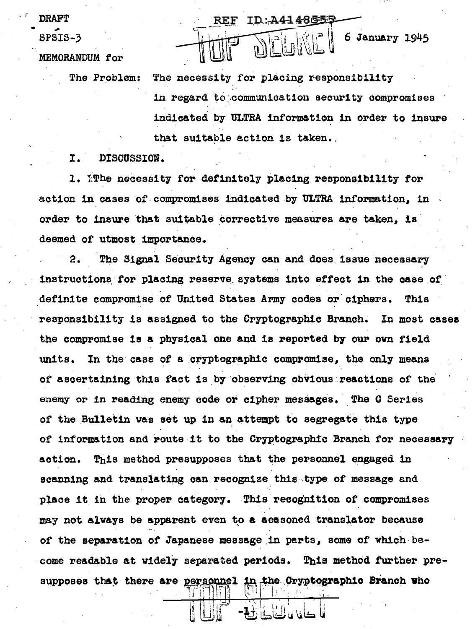**DRAFT** SPSIS-3

MEMORANDUM for

The necessity for placing responsibility The Problem:

REF

in regard to communication security compromises indicated by ULTRA information in order to insure that suitable action is taken.

ID: A4148559

6 January 1945

I. DISCUSSION.

1. The necessity for definitely placing responsibility for action in cases of compromises indicated by ULTRA information, in order to insure that suitable corrective measures are taken, is deemed of utmost importance.

The Signal Security Agency can and does issue necessary 2. instructions for placing reserve systems into effect in the case of definite compromise of United States Army codes or ciphers. This responsibility is assigned to the Cryptographic Branch. In most cases the compromise is a physical one and is reported by our own field In the case of a cryptographic compromise, the only means units. of ascertaining this fact is by observing obvious reactions of the enemy or in reading enemy code or cipher messages. The C Series of the Bulletin was set up in an attempt to segregate this type of information and route it to the Cryptographic Branch for necessary This method presupposes that the personnel engaged in action. scanning and translating can recognize this type of message and place it in the proper category. This recognition of compromises may not always be apparent even to a aeasoned translator because of the separation of Japanese message in parts, some of which become readable at widely separated periods. This method further presupposes that there are personnel in the Cryptographic Branch who

Unit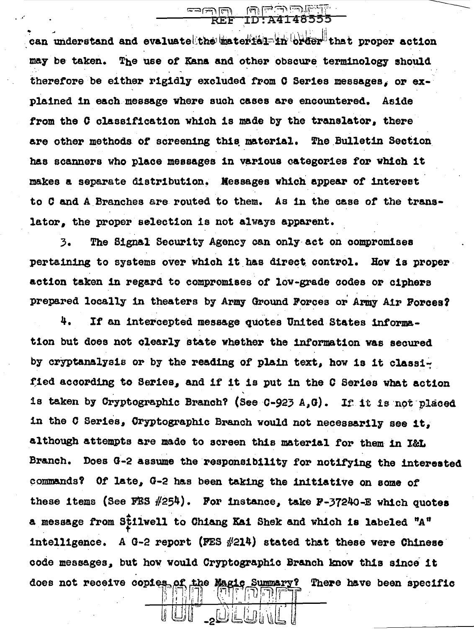can understand and evaluate the material in order that proper action may be taken. The use of Kana and other obscure terminology should therefore be either F1g1dly excluded from 0 Series messages; or explained 1n each message where such cases are encountered. Aside from the C classification which is made by the translator, there are other methods of screening this material. The Bulletin Section has scanners who place messages in various categories for which it makes a separate distribution. Messages which appear of interest to C and A Branches are routed to them. As in the case of the translator, the proper selection is not always apparent.

لا استقال

يتأ ألعنا رلعت وحليا للعام

...

3. The Signal Security Agency can only-act on compromises pertaining to systems over which it has direct control. How is properaction taken 1n regard to compromises or low-grade codes or ciphers prepared locally in theaters by Army Ground Porces or Army Air Porces?

4. If an intercepted message quotes United States information but does not clearly state whether the information was secured by cryptanalysis or by the reading of plain text, how is it classified according to Series, and if it is put in the C Series what action is taken by Cryptographic Branch? (See  $C-923$  A,G). If it is not placed in the C Series, Cryptographic Branch would not necessarily see it, although attempts are made to acreen this material for them in l&L Branch. Does G-2 assume the responsibility for notifying the interested ~ommands? *Ot* late, G-2 has been taking the initiative on some of these items (See FES  $#254$ ). For instance, take F-37240-E which quotes .<br>254)<br>2112011 to a message from Stilwell to Chiang Kai Shek and which is labeled "A" intelligence. A  $0$ -2 report (FES  $#214$ ) stated that these were Chinese code messages, but how would Cryptographic Branch know this since it does not receive copies of the Magic Summary? There have been specific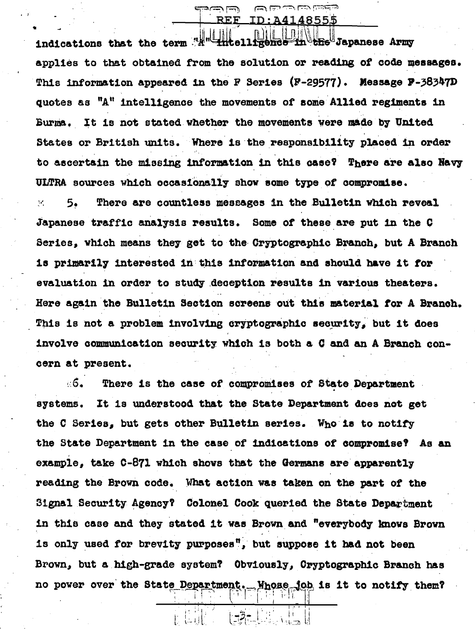indications that the term "A" intelligence *Ene Japanese Army* applies to that obtained from the solution or reading of code messages. This information appeared in the F Series (F-29577). Message P-38347D quotes as "A" intelligence the movements of some Allied regiments in Burma. It is not stated whether the movements were made by United States or British units. Where is the responsibility placed in order to ascertain the missing information in this case? There are also Navy ULTRA sources which occasionally show some type of compromise.

لايسا لمنتدته REF. ويحودننا رئتنا لتت ننشأ للحا

:A4148555

There are countless messages in the Bulletin which reveal  $\mathbf{T}^{\text{eff}}_{\text{F}}$  . 5. Japanese traffic analysis results. Some of these are put in the C Series, which means they get to the Cryptographic Branch, but A Branch is primarily interested in this information and should have it for evaluation in order to study deception results in various theaters. Here again the Bulletin Section screens out this material for A Branch. This is not a problem involving cryptographic security, but it does involve communication security which is both a C and an A Branch concern at present.

∴6. There is the case of compromises of State Department It is understood that the State Department does not get systems. the C Series, but gets other Bulletin series. Who is to notify the State Department in the case of indications of compromise? As an example, take  $C-871$  which shows that the Germans are apparently reading the Brown code. What action was taken on the part of the Signal Security Agency? Colonel Cook queried the State Department in this case and they stated it was Brown and "everybody knows Brown is only used for brevity purposes", but suppose it had not been Brown, but a high-grade system? Obviously, Cryptographic Branch has no power over the State Department. Whose job is it to notify them?

 $-3 -$ 

**Tail**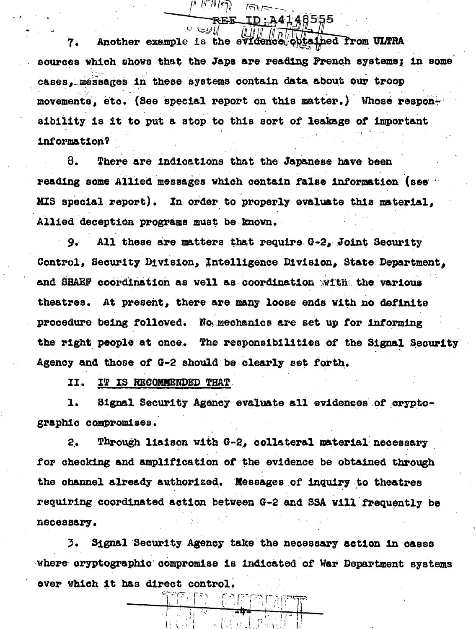obtained from ULTRA Another example is the evic 7. sources which shows that the Japs are reading French systems; in some cases. messages in these systems contain data about our troop movements, etc. (See special report on this matter.) Whose responsibility is it to put a stop to this sort of leakage of important information?

**A4148555** 

8. There are indications that the Japanese have been reading some Allied messages which contain false information (see ) MIS special report). In order to properly evaluate this material, Allied deception programs must be known.

 $9.1$ All these are matters that require G-2, Joint Security Control, Security Division, Intelligence Division, State Department. and SHAEF coordination as well as coordination with the various theatres. At present, there are many loose ends with no definite procedure being followed. Not mechanics are set up for informing the right people at once. The responsibilities of the Signal Security Agency and those of G-2 should be clearly set forth.

II. IT IS RECOMMENDED THAT

1. Signal Security Agency evaluate all evidences of cryptographic compromises.

Through liaison with G-2, collateral material necessary  $2.5$ for checking and amplification of the evidence be obtained through the channel already authorized. Messages of inquiry to theatres requiring coordinated action between G-2 and SSA will frequently be necessary.

Signal Security Agency take the necessary action in cases 3. where cryptographic compromise is indicated of War Department systems over which it has direct control.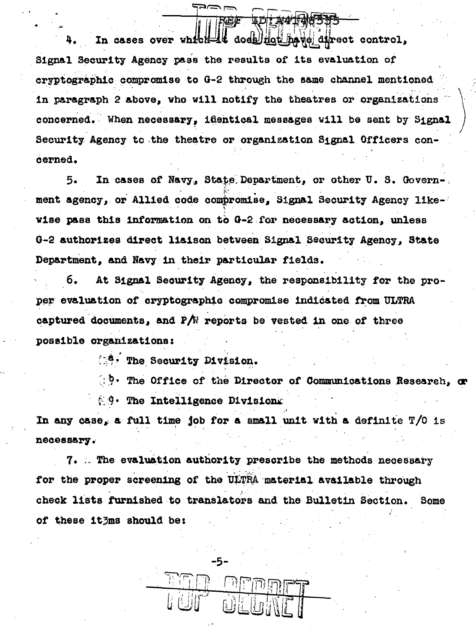does not have direct control. In cases over which 县医 Signal Security Agency pass the results of its evaluation of cryptographic compromise to G-2 through the same channel mentioned in paragraph 2 above, who will notify the theatres or organizations concerned. When necessary, identical messages will be sent by Signal Security Agency to the theatre or organization Signal Officers concerned.

<del>让</del>*如4*"什d你号号"

In cases of Navy, State Department, or other U. S. Govern-,  $5.$ ment agency, or Allied code compromise, Signal Security Agency likewise pass this information on to G-2 for necessary action, unless G-2 authorizes direct liaison between Signal Security Agency. State Department, and Navy in their particular fields.

6. At Signal Security Agency, the responsibility for the proper evaluation of cryptographic compromise indicated from ULTRA captured documents, and  $P/N$  reports be vested in one of three possible organizations:

**A. The Security Division.** 

(: ). The Office of the Director of Communications Research, or **A.9. The Intelligence Divisions** 

In any case, a full time job for a small unit with a definite T/O is necessary.

7. The evaluation authority prescribe the methods necessary for the proper screening of the ULTRA material available through check lists furnished to translators and the Bulletin Section. Some of these ithms should be:

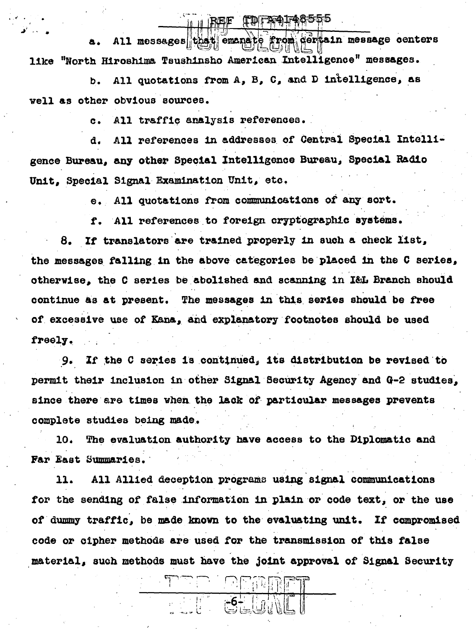**ILBEE LOLASTADED** 

All messages that emana certain message centers a. like "North Hiroshima Tsushinsho American Intelligence" messages.

All quotations from A, B, C, and D intelligence, as b. well as other obvious sources.

> All traffic analysis references.  $\mathbf{c}$ .

All references in addresses of Central Special Intellid. gence Bureau, any other Special Intelligence Bureau, Special Radio Unit. Special Signal Examination Unit, etc.

e. All quotations from communications of any sort.

f. All references to foreign cryptographic systems.

If translators are trained properly in such a check list, 8. the messages falling in the above categories be placed in the C series, otherwise, the C series be abolished and scanning in I&L Branch should continue as at present. The messages in this series should be free of excessive use of Kana, and explanatory footnotes should be used freely.

9. If the C series is continued, its distribution be revised to permit their inclusion in other Signal Security Agency and G-2 studies. since there are times when the lack of particular messages prevents complete studies being made.

The evaluation authority have access to the Diplomatic and 10. Far East Summaries.

11. All Allied deception programs using signal communications for the sending of false information in plain or code text, or the use of dummy traffic, be made known to the evaluating unit. If compromised code or cipher methods are used for the transmission of this false material, such methods must have the joint approval of Signal Security